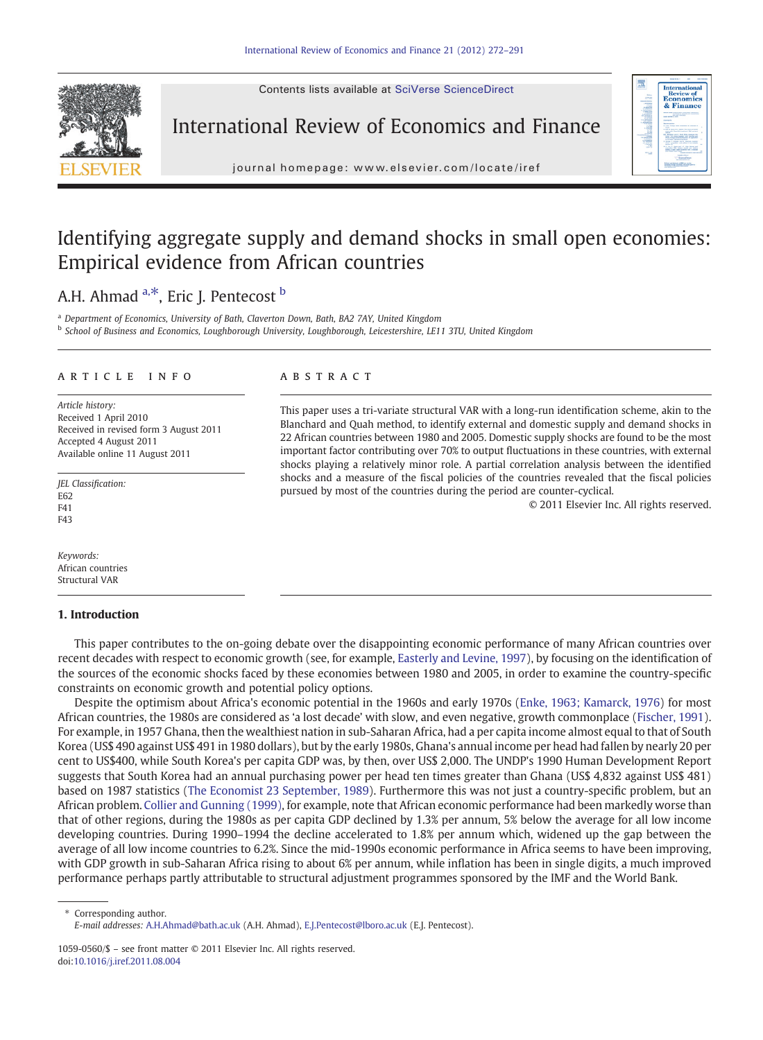Contents lists available at SciVerse ScienceDirect



International Review of Economics and Finance



 $j$  or e p a g e  $\alpha$  i  $\alpha$  of  $\alpha$  is even  $\alpha$  that  $\alpha$  is even  $\alpha$  is even  $\alpha$  that  $\alpha$  is even  $\alpha$ 

## Identifying aggregate supply and demand shocks in small open economies: Empirical evidence from African countries

## A.H. Ahmad  $a, *$ , Eric J. Pentecost  $b$

<sup>a</sup> Department of Economics, University of Bath, Claverton Down, Bath, BA2 7AY, United Kingdom **b School of Business and Economics, Loughborough University, Loughborough, Leicestershire, LE11 3TU, United Kingdom** 

#### article info abstract

Article history: Received 1 April 2010 Received in revised form 3 August 2011 Accepted 4 August 2011 Available online 11 August 2011

JEL Classification: E62 F<sub>41</sub> F43

Keywords: African countries Structural VAR

### 1. Introduction

This paper uses a tri-variate structural VAR with a long-run identification scheme, akin to the Blanchard and Quah method, to identify external and domestic supply and demand shocks in 22 African countries between 1980 and 2005. Domestic supply shocks are found to be the most important factor contributing over 70% to output fluctuations in these countries, with external shocks playing a relatively minor role. A partial correlation analysis between the identified shocks and a measure of the fiscal policies of the countries revealed that the fiscal policies pursued by most of the countries during the period are counter-cyclical.

© 2011 Elsevier Inc. All rights reserved.

This paper contributes to the on-going debate over the disappointing economic performance of many African countries over recent decades with respect to economic growth (see, for example, [Easterly and Levine, 1997](#page--1-0)), by focusing on the identification of the sources of the economic shocks faced by these economies between 1980 and 2005, in order to examine the country-specific constraints on economic growth and potential policy options.

Despite the optimism about Africa's economic potential in the 1960s and early 1970s ([Enke, 1963; Kamarck, 1976\)](#page--1-0) for most African countries, the 1980s are considered as 'a lost decade' with slow, and even negative, growth commonplace ([Fischer, 1991](#page--1-0)). For example, in 1957 Ghana, then the wealthiest nation in sub-Saharan Africa, had a per capita income almost equal to that of South Korea (US\$ 490 against US\$ 491 in 1980 dollars), but by the early 1980s, Ghana's annual income per head had fallen by nearly 20 per cent to US\$400, while South Korea's per capita GDP was, by then, over US\$ 2,000. The UNDP's 1990 Human Development Report suggests that South Korea had an annual purchasing power per head ten times greater than Ghana (US\$ 4,832 against US\$ 481) based on 1987 statistics [\(The Economist 23 September, 1989](#page--1-0)). Furthermore this was not just a country-specific problem, but an African problem. [Collier and Gunning \(1999\)](#page--1-0), for example, note that African economic performance had been markedly worse than that of other regions, during the 1980s as per capita GDP declined by 1.3% per annum, 5% below the average for all low income developing countries. During 1990–1994 the decline accelerated to 1.8% per annum which, widened up the gap between the average of all low income countries to 6.2%. Since the mid-1990s economic performance in Africa seems to have been improving, with GDP growth in sub-Saharan Africa rising to about 6% per annum, while inflation has been in single digits, a much improved performance perhaps partly attributable to structural adjustment programmes sponsored by the IMF and the World Bank.

Corresponding author. E-mail addresses: [A.H.Ahmad@bath.ac.uk](mailto:A.H.Ahmad@bath.ac.uk) (A.H. Ahmad), [E.J.Pentecost@lboro.ac.uk](mailto:E.J.Pentecost@lboro.ac.uk) (E.J. Pentecost).

<sup>1059-0560/\$</sup> – see front matter © 2011 Elsevier Inc. All rights reserved. doi:[10.1016/j.iref.2011.08.004](http://dx.doi.org/10.1016/j.iref.2011.08.004)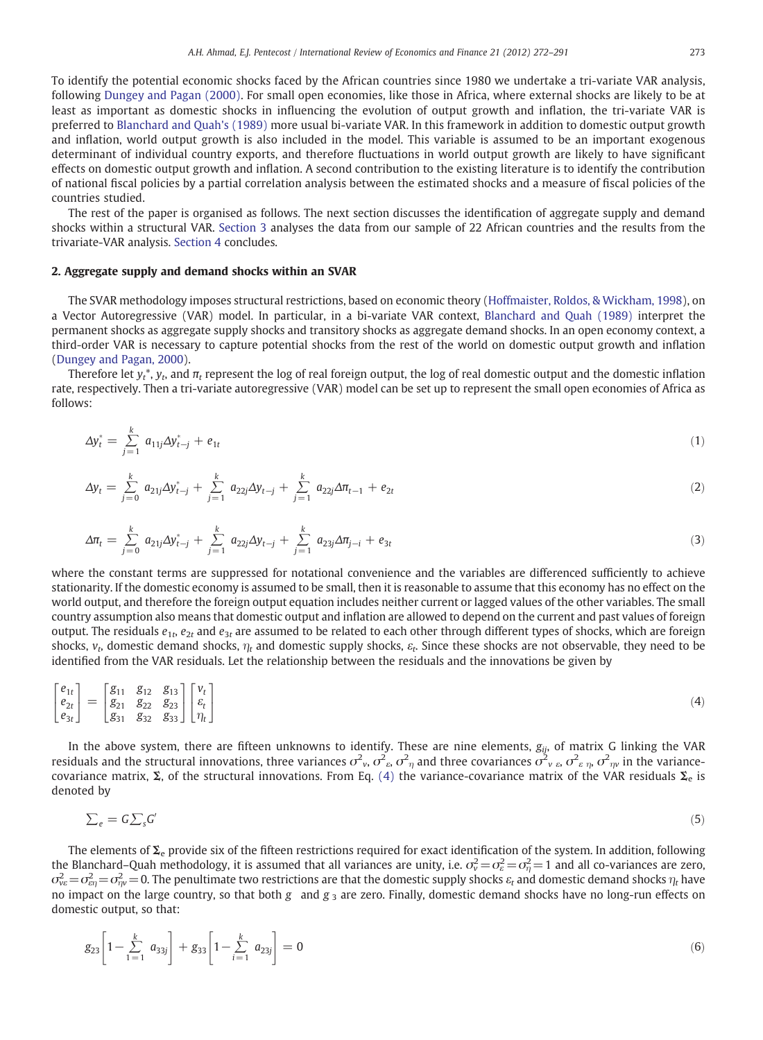To identify the potential economic shocks faced by the African countries since 1980 we undertake a tri-variate VAR analysis, following [Dungey and Pagan \(2000\).](#page--1-0) For small open economies, like those in Africa, where external shocks are likely to be at least as important as domestic shocks in influencing the evolution of output growth and inflation, the tri-variate VAR is preferred to [Blanchard and Quah's \(1989\)](#page--1-0) more usual bi-variate VAR. In this framework in addition to domestic output growth and inflation, world output growth is also included in the model. This variable is assumed to be an important exogenous determinant of individual country exports, and therefore fluctuations in world output growth are likely to have significant effects on domestic output growth and inflation. A second contribution to the existing literature is to identify the contribution of national fiscal policies by a partial correlation analysis between the estimated shocks and a measure of fiscal policies of the countries studied.

The rest of the paper is organised as follows. The next section discusses the identification of aggregate supply and demand shocks within a structural VAR. [Section 3](#page--1-0) analyses the data from our sample of 22 African countries and the results from the trivariate-VAR analysis. [Section 4](#page--1-0) concludes.

#### 2. Aggregate supply and demand shocks within an SVAR

The SVAR methodology imposes structural restrictions, based on economic theory [\(Hoffmaister, Roldos, & Wickham, 1998\)](#page--1-0), on a Vector Autoregressive (VAR) model. In particular, in a bi-variate VAR context, [Blanchard and Quah \(1989\)](#page--1-0) interpret the permanent shocks as aggregate supply shocks and transitory shocks as aggregate demand shocks. In an open economy context, a third-order VAR is necessary to capture potential shocks from the rest of the world on domestic output growth and inflation [\(Dungey and Pagan, 2000\)](#page--1-0).

Therefore let  $y_t^*$ ,  $y_t$ , and  $\pi_t$  represent the log of real foreign output, the log of real domestic output and the domestic inflation rate, respectively. Then a tri-variate autoregressive (VAR) model can be set up to represent the small open economies of Africa as follows:

$$
\Delta y_t^* = \sum_{j=1}^k a_{11j} \Delta y_{t-j}^* + e_{1t} \tag{1}
$$

$$
\Delta y_t = \sum_{j=0}^k a_{21j} \Delta y_{t-j}^* + \sum_{j=1}^k a_{22j} \Delta y_{t-j} + \sum_{j=1}^k a_{22j} \Delta \pi_{t-1} + e_{2t} \tag{2}
$$

$$
\Delta \pi_t = \sum_{j=0}^k a_{21j} \Delta y_{t-j}^* + \sum_{j=1}^k a_{22j} \Delta y_{t-j} + \sum_{j=1}^k a_{23j} \Delta \pi_{j-i} + e_{3t} \tag{3}
$$

where the constant terms are suppressed for notational convenience and the variables are differenced sufficiently to achieve stationarity. If the domestic economy is assumed to be small, then it is reasonable to assume that this economy has no effect on the world output, and therefore the foreign output equation includes neither current or lagged values of the other variables. The small country assumption also means that domestic output and inflation are allowed to depend on the current and past values of foreign output. The residuals  $e_{1t}$ ,  $e_{2t}$  and  $e_{3t}$  are assumed to be related to each other through different types of shocks, which are foreign shocks,  $v_t$ , domestic demand shocks,  $\eta_t$  and domestic supply shocks,  $\varepsilon_t$ . Since these shocks are not observable, they need to be identified from the VAR residuals. Let the relationship between the residuals and the innovations be given by

$$
\begin{bmatrix} e_{1t} \\ e_{2t} \\ e_{3t} \end{bmatrix} = \begin{bmatrix} g_{11} & g_{12} & g_{13} \\ g_{21} & g_{22} & g_{23} \\ g_{31} & g_{32} & g_{33} \end{bmatrix} \begin{bmatrix} v_t \\ e_t \\ \eta_t \end{bmatrix}
$$
 (4)

In the above system, there are fifteen unknowns to identify. These are nine elements,  $g_{ij}$ , of matrix G linking the VAR residuals and the structural innovations, three variances  $\sigma^2{}_\nu$ ,  $\sigma^2{}_\wp$ ,  $\sigma^2{}_\eta$  and three covariances  $\sigma^2{}_{\nu}$   $_\delta$ ,  $\sigma^2{}_{\epsilon}$   $_{\eta}$ ,  $\sigma^2{}_{\eta\nu}$  in the variancecovariance matrix,  $\Sigma$ , of the structural innovations. From Eq. (4) the variance-covariance matrix of the VAR residuals  $\Sigma_e$  is denoted by

$$
\sum_{e} = G \sum_{s} G' \tag{5}
$$

The elements of  $\Sigma_e$  provide six of the fifteen restrictions required for exact identification of the system. In addition, following the Blanchard–Quah methodology, it is assumed that all variances are unity, i.e.  $\sigma_v^2\!=\!\sigma_e^2\!=\!\sigma_\eta^2\!=\!1$  and all co-variances are zero,  $\sigma_{\!v e}^2\!=\!\sigma_{\!e\!q}^2\!=\!\sigma_{\!r\!q}^2\!=\!0.$  The penultimate two restrictions are that the domestic supply shocks  $\varepsilon_t$  and domestic demand shocks  $\eta_t$  have no impact on the large country, so that both g and  $g_3$  are zero. Finally, domestic demand shocks have no long-run effects on domestic output, so that:

$$
g_{23}\left[1-\sum_{1=1}^{k} a_{33j}\right] + g_{33}\left[1-\sum_{i=1}^{k} a_{23j}\right] = 0
$$
\n
$$
(6)
$$